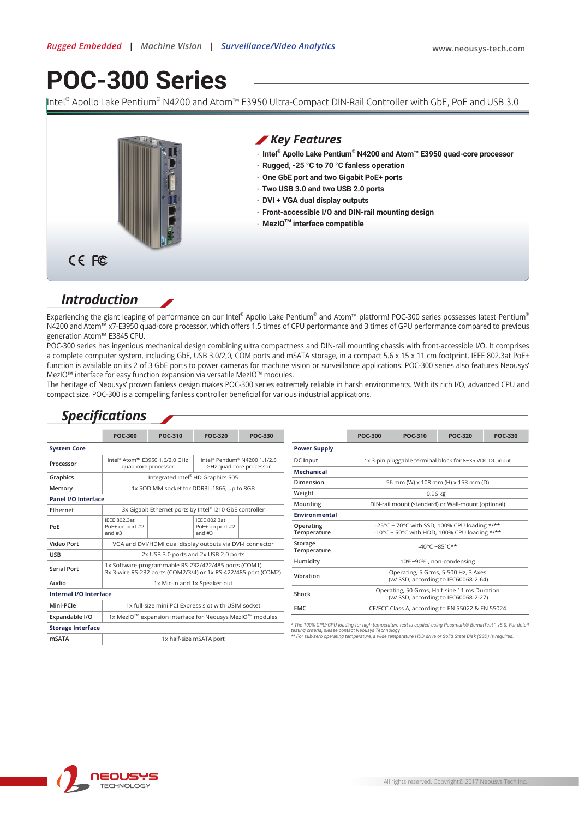# **POC-300 Series**

Intel® Apollo Lake Pentium® N4200 and Atom™ E3950 Ultra-Compact DIN-Rail Controller with GbE, PoE and USB 3.0



### *Introduction*

Experiencing the giant leaping of performance on our Intel® Apollo Lake Pentium® and Atom™ platform! POC-300 series possesses latest Pentium® N4200 and Atom™ x7-E3950 quad-core processor, which offers 1.5 times of CPU performance and 3 times of GPU performance compared to previous generation Atom™ E3845 CPU.

POC-300 series has ingenious mechanical design combining ultra compactness and DIN-rail mounting chassis with front-accessible I/O. It comprises a complete computer system, including GbE, USB 3.0/2,0, COM ports and mSATA storage, in a compact 5.6 x 15 x 11 cm footprint. IEEE 802.3at PoE+ function is available on its 2 of 3 GbE ports to power cameras for machine vision or surveillance applications. POC-300 series also features Neousys' MezIO™ interface for easy function expansion via versatile MezIO™ modules.

The heritage of Neousys' proven fanless design makes POC-300 series extremely reliable in harsh environments. With its rich I/O, advanced CPU and compact size, POC-300 is a compelling fanless controller beneficial for various industrial applications.

### *Specifications*

|                          | <b>POC-300</b>                                                    | POC-310 | <b>POC-320</b>                                                                   | <b>POC-330</b>                                   |                                                                                                                                                                                 | <b>POC-300</b>                                                                               | POC-310 | <b>POC-320</b> | <b>POC-330</b> |
|--------------------------|-------------------------------------------------------------------|---------|----------------------------------------------------------------------------------|--------------------------------------------------|---------------------------------------------------------------------------------------------------------------------------------------------------------------------------------|----------------------------------------------------------------------------------------------|---------|----------------|----------------|
| <b>System Core</b>       |                                                                   |         |                                                                                  |                                                  | <b>Power Supply</b>                                                                                                                                                             |                                                                                              |         |                |                |
| Processor                | Intel <sup>®</sup> Atom™ E3950 1.6/2.0 GHz<br>quad-core processor |         | Intel <sup>®</sup> Pentium <sup>®</sup> N4200 1.1/2.5<br>GHz quad-core processor |                                                  | DC Input                                                                                                                                                                        | 1x 3-pin pluggable terminal block for 8~35 VDC DC input                                      |         |                |                |
|                          |                                                                   |         |                                                                                  | <b>Mechanical</b>                                |                                                                                                                                                                                 |                                                                                              |         |                |                |
| Graphics                 | Integrated Intel® HD Graphics 505                                 |         |                                                                                  | Dimension                                        | 56 mm (W) x 108 mm (H) x 153 mm (D)                                                                                                                                             |                                                                                              |         |                |                |
| Memory                   | 1x SODIMM socket for DDR3L-1866, up to 8GB                        |         |                                                                                  |                                                  | Weight                                                                                                                                                                          | $0.96$ kg                                                                                    |         |                |                |
| Panel I/O Interface      |                                                                   |         |                                                                                  | Mounting                                         | DIN-rail mount (standard) or Wall-mount (optional)                                                                                                                              |                                                                                              |         |                |                |
| Ethernet                 | 3x Gigabit Ethernet ports by Intel® I210 GbE controller           |         |                                                                                  |                                                  |                                                                                                                                                                                 |                                                                                              |         |                |                |
| PoE                      | <b>IEEE 802.3at</b><br>PoE+ on port #2<br>and $#3$                |         | <b>IEEE 802.3at</b><br>PoE+ on port #2<br>and $#3$                               |                                                  | <b>Environmental</b>                                                                                                                                                            |                                                                                              |         |                |                |
|                          |                                                                   |         |                                                                                  |                                                  | Operating<br>Temperature                                                                                                                                                        | -25°C ~ 70°C with SSD, 100% CPU loading */**<br>-10°C ~ 50°C with HDD, 100% CPU loading */** |         |                |                |
| Video Port               | VGA and DVI/HDMI dual display outputs via DVI-I connector         |         |                                                                                  | Storage<br>$-40^{\circ}$ C ~85°C**               |                                                                                                                                                                                 |                                                                                              |         |                |                |
| <b>USB</b>               | 2x USB 3.0 ports and 2x USB 2.0 ports                             |         |                                                                                  |                                                  | Temperature                                                                                                                                                                     |                                                                                              |         |                |                |
|                          | 1x Software-programmable RS-232/422/485 ports (COM1)              |         |                                                                                  |                                                  | Humidity                                                                                                                                                                        | 10%~90%, non-condensing                                                                      |         |                |                |
| <b>Serial Port</b>       | 3x 3-wire RS-232 ports (COM2/3/4) or 1x RS-422/485 port (COM2)    |         |                                                                                  | Operating, 5 Grms, 5-500 Hz, 3 Axes<br>Vibration |                                                                                                                                                                                 |                                                                                              |         |                |                |
| Audio                    | 1x Mic-in and 1x Speaker-out                                      |         |                                                                                  |                                                  |                                                                                                                                                                                 | (w/ SSD, according to IEC60068-2-64)                                                         |         |                |                |
| Internal I/O Interface   |                                                                   |         |                                                                                  | Shock                                            | Operating, 50 Grms, Half-sine 11 ms Duration<br>(w/ SSD, according to IEC60068-2-27)                                                                                            |                                                                                              |         |                |                |
| Mini-PCle                | 1x full-size mini PCI Express slot with USIM socket               |         |                                                                                  |                                                  | <b>EMC</b>                                                                                                                                                                      | CE/FCC Class A, according to EN 55022 & EN 55024                                             |         |                |                |
| Expandable I/O           | 1x MezIO™ expansion interface for Neousys MezIO™ modules          |         |                                                                                  |                                                  |                                                                                                                                                                                 |                                                                                              |         |                |                |
| <b>Storage Interface</b> |                                                                   |         |                                                                                  |                                                  | * The 100% CPU/GPU loading for high temperature test is applied using Passmark® BurnInTest <sup>™</sup> v8.0. For detail<br>testing criteria, please contact Neousys Technology |                                                                                              |         |                |                |
| mSATA                    | 1x half-size mSATA port                                           |         |                                                                                  |                                                  | ** For sub-zero operating temperature, a wide temperature HDD drive or Solid State Disk (SSD) is required.                                                                      |                                                                                              |         |                |                |